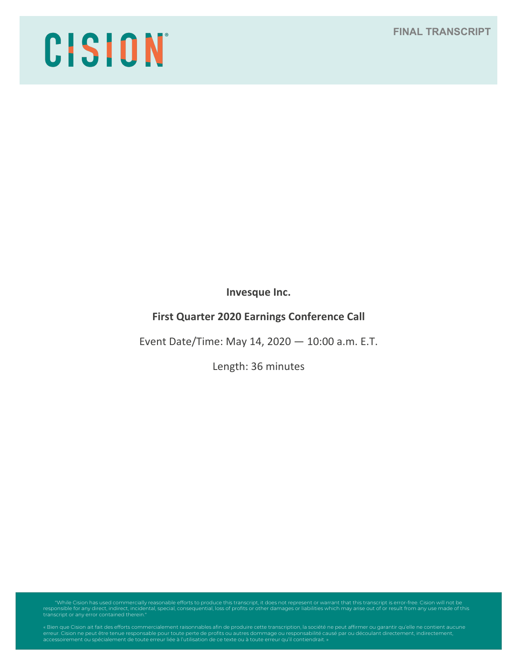## **FINAL TRANSCRIPT**

# CISION

**Invesque Inc.**

# **First Quarter 2020 Earnings Conference Call**

Event Date/Time: May 14, 2020 — 10:00 a.m. E.T.

Length: 36 minutes

"While Cision has used commercially reasonable efforts to produce this transcript, it does not represent or warrant that this transcript is error-free. Cision will not be<br>responsible for any direct, indirect, incidental, s

« Bien que Cision ait fait des efforts commercialement raisonnables afin de produire cette transcription, la société ne peut affirmer ou garantir qu'elle ne contient aucune<br>erreur. Cision ne peut être tenue responsable pou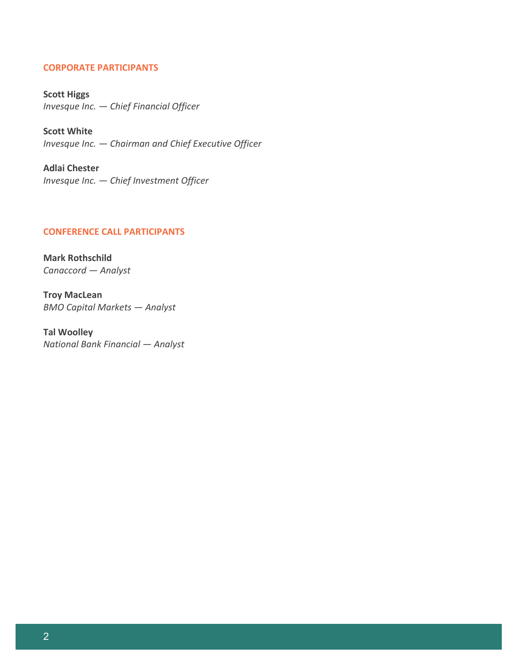## **CORPORATE PARTICIPANTS**

**Scott Higgs** *Invesque Inc. — Chief Financial Officer*

**Scott White** *Invesque Inc. — Chairman and Chief Executive Officer*

**Adlai Chester** *Invesque Inc. — Chief Investment Officer*

## **CONFERENCE CALL PARTICIPANTS**

**Mark Rothschild** *Canaccord — Analyst*

**Troy MacLean** *BMO Capital Markets — Analyst*

**Tal Woolley** *National Bank Financial — Analyst*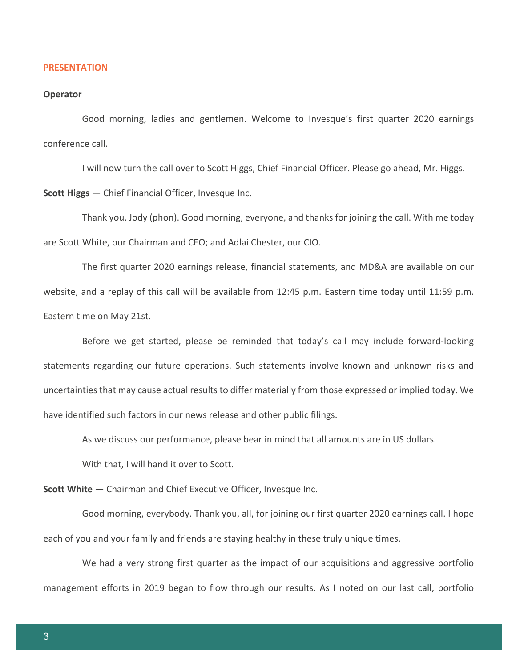#### **PRESENTATION**

#### **Operator**

Good morning, ladies and gentlemen. Welcome to Invesque's first quarter 2020 earnings conference call.

I will now turn the call over to Scott Higgs, Chief Financial Officer. Please go ahead, Mr. Higgs.

**Scott Higgs** — Chief Financial Officer, Invesque Inc.

Thank you, Jody (phon). Good morning, everyone, and thanks for joining the call. With me today are Scott White, our Chairman and CEO; and Adlai Chester, our CIO.

The first quarter 2020 earnings release, financial statements, and MD&A are available on our website, and a replay of this call will be available from 12:45 p.m. Eastern time today until 11:59 p.m. Eastern time on May 21st.

Before we get started, please be reminded that today's call may include forward-looking statements regarding our future operations. Such statements involve known and unknown risks and uncertainties that may cause actual results to differ materially from those expressed or implied today. We have identified such factors in our news release and other public filings.

As we discuss our performance, please bear in mind that all amounts are in US dollars.

With that, I will hand it over to Scott.

**Scott White** — Chairman and Chief Executive Officer, Invesque Inc.

Good morning, everybody. Thank you, all, for joining our first quarter 2020 earnings call. I hope each of you and your family and friends are staying healthy in these truly unique times.

We had a very strong first quarter as the impact of our acquisitions and aggressive portfolio management efforts in 2019 began to flow through our results. As I noted on our last call, portfolio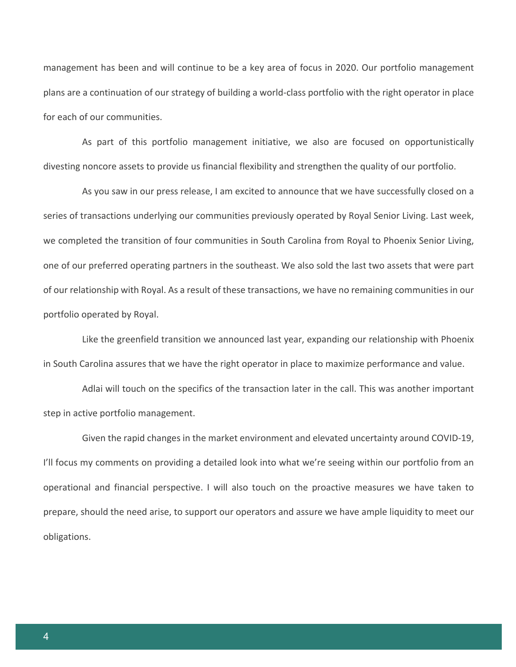management has been and will continue to be a key area of focus in 2020. Our portfolio management plans are a continuation of our strategy of building a world-class portfolio with the right operator in place for each of our communities.

As part of this portfolio management initiative, we also are focused on opportunistically divesting noncore assets to provide us financial flexibility and strengthen the quality of our portfolio.

As you saw in our press release, I am excited to announce that we have successfully closed on a series of transactions underlying our communities previously operated by Royal Senior Living. Last week, we completed the transition of four communities in South Carolina from Royal to Phoenix Senior Living, one of our preferred operating partners in the southeast. We also sold the last two assets that were part of our relationship with Royal. As a result of these transactions, we have no remaining communities in our portfolio operated by Royal.

Like the greenfield transition we announced last year, expanding our relationship with Phoenix in South Carolina assures that we have the right operator in place to maximize performance and value.

Adlai will touch on the specifics of the transaction later in the call. This was another important step in active portfolio management.

Given the rapid changes in the market environment and elevated uncertainty around COVID-19, I'll focus my comments on providing a detailed look into what we're seeing within our portfolio from an operational and financial perspective. I will also touch on the proactive measures we have taken to prepare, should the need arise, to support our operators and assure we have ample liquidity to meet our obligations.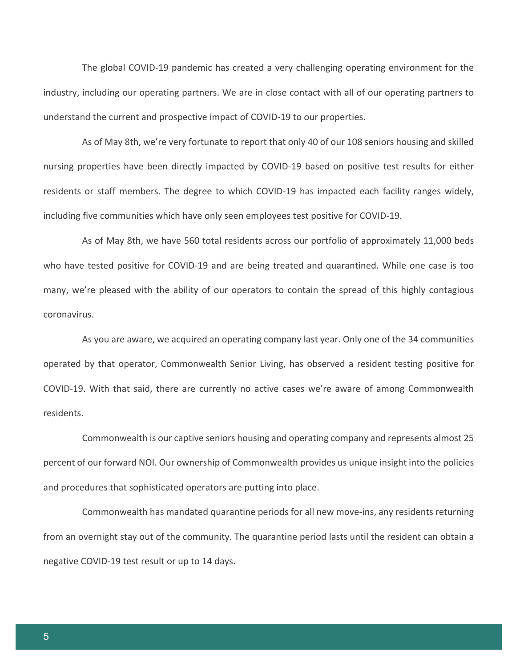The global COVID-19 pandemic has created a very challenging operating environment for the industry, including our operating partners. We are in close contact with all of our operating partners to understand the current and prospective impact of COVID-19 to our properties.

As of May 8th, we're very fortunate to report that only 40 of our 108 seniors housing and skilled nursing properties have been directly impacted by COVID-19 based on positive test results for either residents or staff members. The degree to which COVID-19 has impacted each facility ranges widely, including five communities which have only seen employees test positive for COVID-19.

As of May 8th, we have 560 total residents across our portfolio of approximately 11,000 beds who have tested positive for COVID-19 and are being treated and quarantined. While one case is too many, we're pleased with the ability of our operators to contain the spread of this highly contagious coronavirus.

As you are aware, we acquired an operating company last year. Only one of the 34 communities operated by that operator, Commonwealth Senior Living, has observed a resident testing positive for COVID-19. With that said, there are currently no active cases we're aware of among Commonwealth residents.

Commonwealth is our captive seniors housing and operating company and represents almost 25 percent of our forward NOI. Our ownership of Commonwealth provides us unique insight into the policies and procedures that sophisticated operators are putting into place.

Commonwealth has mandated quarantine periods for all new move-ins, any residents returning from an overnight stay out of the community. The quarantine period lasts until the resident can obtain a negative COVID-19 test result or up to 14 days.

5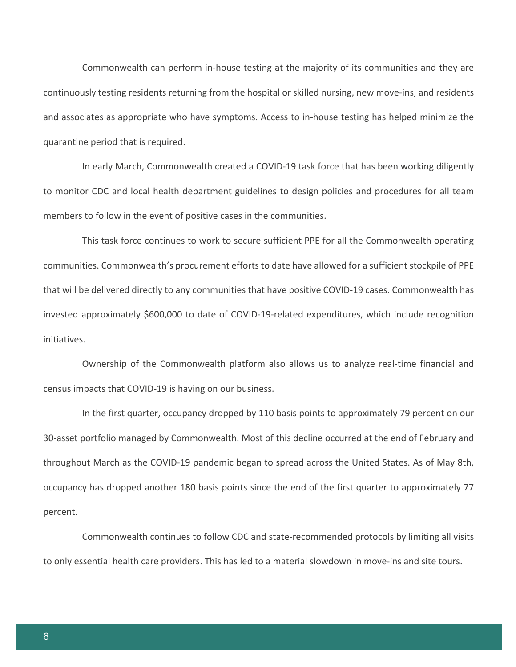Commonwealth can perform in-house testing at the majority of its communities and they are continuously testing residents returning from the hospital or skilled nursing, new move-ins, and residents and associates as appropriate who have symptoms. Access to in-house testing has helped minimize the quarantine period that is required.

In early March, Commonwealth created a COVID-19 task force that has been working diligently to monitor CDC and local health department guidelines to design policies and procedures for all team members to follow in the event of positive cases in the communities.

This task force continues to work to secure sufficient PPE for all the Commonwealth operating communities. Commonwealth's procurement efforts to date have allowed for a sufficient stockpile of PPE that will be delivered directly to any communities that have positive COVID-19 cases. Commonwealth has invested approximately \$600,000 to date of COVID-19-related expenditures, which include recognition initiatives.

Ownership of the Commonwealth platform also allows us to analyze real-time financial and census impacts that COVID-19 is having on our business.

In the first quarter, occupancy dropped by 110 basis points to approximately 79 percent on our 30-asset portfolio managed by Commonwealth. Most of this decline occurred at the end of February and throughout March as the COVID-19 pandemic began to spread across the United States. As of May 8th, occupancy has dropped another 180 basis points since the end of the first quarter to approximately 77 percent.

Commonwealth continues to follow CDC and state-recommended protocols by limiting all visits to only essential health care providers. This has led to a material slowdown in move-ins and site tours.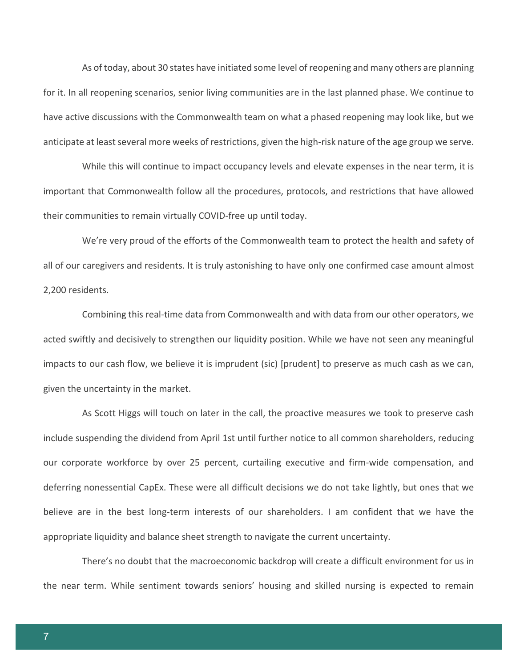As of today, about 30 states have initiated some level of reopening and many others are planning for it. In all reopening scenarios, senior living communities are in the last planned phase. We continue to have active discussions with the Commonwealth team on what a phased reopening may look like, but we anticipate at least several more weeks of restrictions, given the high-risk nature of the age group we serve.

While this will continue to impact occupancy levels and elevate expenses in the near term, it is important that Commonwealth follow all the procedures, protocols, and restrictions that have allowed their communities to remain virtually COVID-free up until today.

We're very proud of the efforts of the Commonwealth team to protect the health and safety of all of our caregivers and residents. It is truly astonishing to have only one confirmed case amount almost 2,200 residents.

Combining this real-time data from Commonwealth and with data from our other operators, we acted swiftly and decisively to strengthen our liquidity position. While we have not seen any meaningful impacts to our cash flow, we believe it is imprudent (sic) [prudent] to preserve as much cash as we can, given the uncertainty in the market.

As Scott Higgs will touch on later in the call, the proactive measures we took to preserve cash include suspending the dividend from April 1st until further notice to all common shareholders, reducing our corporate workforce by over 25 percent, curtailing executive and firm-wide compensation, and deferring nonessential CapEx. These were all difficult decisions we do not take lightly, but ones that we believe are in the best long-term interests of our shareholders. I am confident that we have the appropriate liquidity and balance sheet strength to navigate the current uncertainty.

There's no doubt that the macroeconomic backdrop will create a difficult environment for us in the near term. While sentiment towards seniors' housing and skilled nursing is expected to remain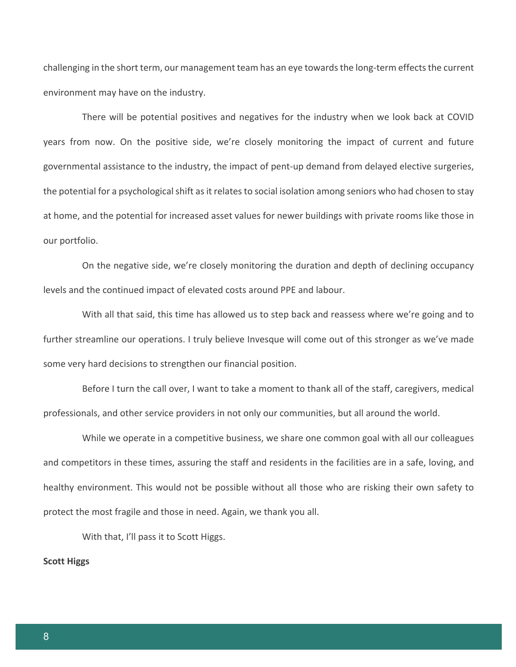challenging in the short term, our management team has an eye towards the long-term effects the current environment may have on the industry.

There will be potential positives and negatives for the industry when we look back at COVID years from now. On the positive side, we're closely monitoring the impact of current and future governmental assistance to the industry, the impact of pent-up demand from delayed elective surgeries, the potential for a psychological shift as it relates to social isolation among seniors who had chosen to stay at home, and the potential for increased asset values for newer buildings with private rooms like those in our portfolio.

On the negative side, we're closely monitoring the duration and depth of declining occupancy levels and the continued impact of elevated costs around PPE and labour.

With all that said, this time has allowed us to step back and reassess where we're going and to further streamline our operations. I truly believe Invesque will come out of this stronger as we've made some very hard decisions to strengthen our financial position.

Before I turn the call over, I want to take a moment to thank all of the staff, caregivers, medical professionals, and other service providers in not only our communities, but all around the world.

While we operate in a competitive business, we share one common goal with all our colleagues and competitors in these times, assuring the staff and residents in the facilities are in a safe, loving, and healthy environment. This would not be possible without all those who are risking their own safety to protect the most fragile and those in need. Again, we thank you all.

With that, I'll pass it to Scott Higgs.

#### **Scott Higgs**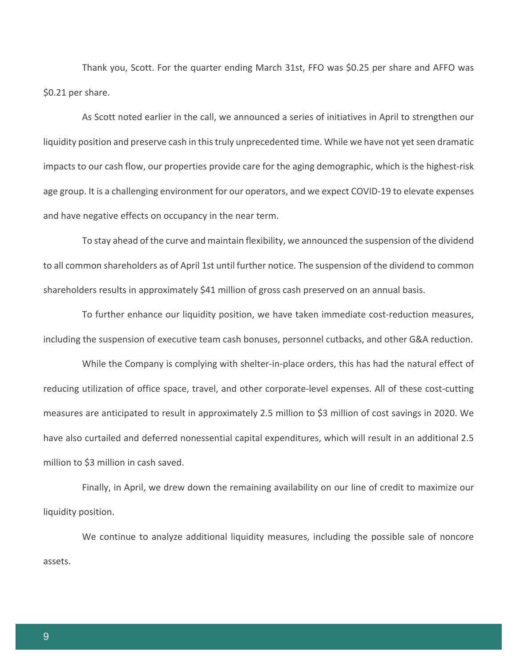Thank you, Scott. For the quarter ending March 31st, FFO was \$0.25 per share and AFFO was \$0.21 per share.

As Scott noted earlier in the call, we announced a series of initiatives in April to strengthen our liquidity position and preserve cash in this truly unprecedented time. While we have not yet seen dramatic impacts to our cash flow, our properties provide care for the aging demographic, which is the highest-risk age group. It is a challenging environment for our operators, and we expect COVID-19 to elevate expenses and have negative effects on occupancy in the near term.

To stay ahead of the curve and maintain flexibility, we announced the suspension of the dividend to all common shareholders as of April 1st until further notice. The suspension of the dividend to common shareholders results in approximately \$41 million of gross cash preserved on an annual basis.

To further enhance our liquidity position, we have taken immediate cost-reduction measures, including the suspension of executive team cash bonuses, personnel cutbacks, and other G&A reduction.

While the Company is complying with shelter-in-place orders, this has had the natural effect of reducing utilization of office space, travel, and other corporate-level expenses. All of these cost-cutting measures are anticipated to result in approximately 2.5 million to \$3 million of cost savings in 2020. We have also curtailed and deferred nonessential capital expenditures, which will result in an additional 2.5 million to \$3 million in cash saved.

Finally, in April, we drew down the remaining availability on our line of credit to maximize our liquidity position.

We continue to analyze additional liquidity measures, including the possible sale of noncore assets.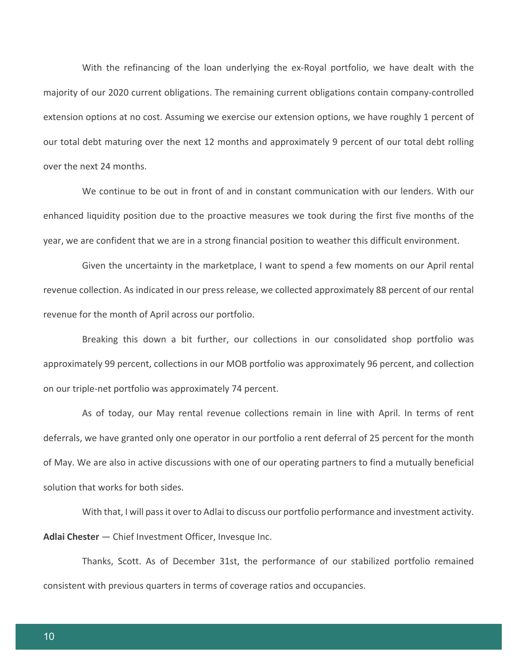With the refinancing of the loan underlying the ex-Royal portfolio, we have dealt with the majority of our 2020 current obligations. The remaining current obligations contain company-controlled extension options at no cost. Assuming we exercise our extension options, we have roughly 1 percent of our total debt maturing over the next 12 months and approximately 9 percent of our total debt rolling over the next 24 months.

We continue to be out in front of and in constant communication with our lenders. With our enhanced liquidity position due to the proactive measures we took during the first five months of the year, we are confident that we are in a strong financial position to weather this difficult environment.

Given the uncertainty in the marketplace, I want to spend a few moments on our April rental revenue collection. As indicated in our press release, we collected approximately 88 percent of our rental revenue for the month of April across our portfolio.

Breaking this down a bit further, our collections in our consolidated shop portfolio was approximately 99 percent, collections in our MOB portfolio was approximately 96 percent, and collection on our triple-net portfolio was approximately 74 percent.

As of today, our May rental revenue collections remain in line with April. In terms of rent deferrals, we have granted only one operator in our portfolio a rent deferral of 25 percent for the month of May. We are also in active discussions with one of our operating partners to find a mutually beneficial solution that works for both sides.

With that, I will pass it over to Adlai to discuss our portfolio performance and investment activity. **Adlai Chester** — Chief Investment Officer, Invesque Inc.

Thanks, Scott. As of December 31st, the performance of our stabilized portfolio remained consistent with previous quarters in terms of coverage ratios and occupancies.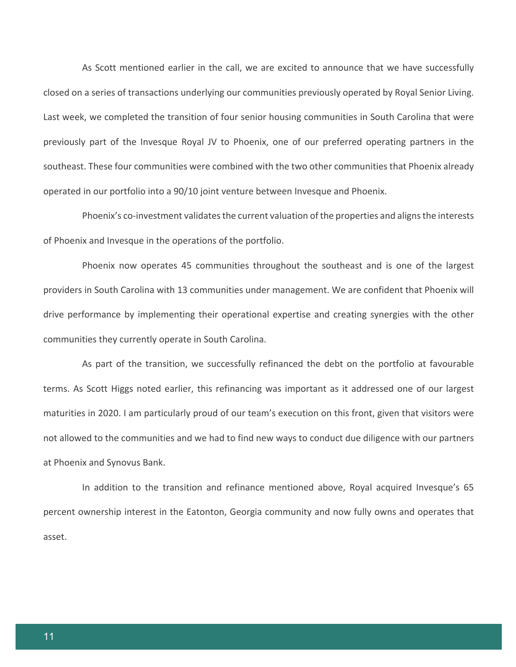As Scott mentioned earlier in the call, we are excited to announce that we have successfully closed on a series of transactions underlying our communities previously operated by Royal Senior Living. Last week, we completed the transition of four senior housing communities in South Carolina that were previously part of the Invesque Royal JV to Phoenix, one of our preferred operating partners in the southeast. These four communities were combined with the two other communities that Phoenix already operated in our portfolio into a 90/10 joint venture between Invesque and Phoenix.

Phoenix's co-investment validates the current valuation of the properties and aligns the interests of Phoenix and Invesque in the operations of the portfolio.

Phoenix now operates 45 communities throughout the southeast and is one of the largest providers in South Carolina with 13 communities under management. We are confident that Phoenix will drive performance by implementing their operational expertise and creating synergies with the other communities they currently operate in South Carolina.

As part of the transition, we successfully refinanced the debt on the portfolio at favourable terms. As Scott Higgs noted earlier, this refinancing was important as it addressed one of our largest maturities in 2020. I am particularly proud of our team's execution on this front, given that visitors were not allowed to the communities and we had to find new ways to conduct due diligence with our partners at Phoenix and Synovus Bank.

In addition to the transition and refinance mentioned above, Royal acquired Invesque's 65 percent ownership interest in the Eatonton, Georgia community and now fully owns and operates that asset.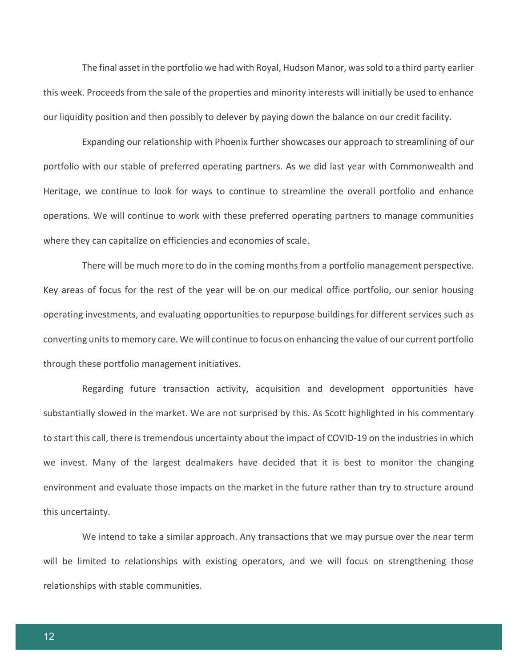The final asset in the portfolio we had with Royal, Hudson Manor, was sold to a third party earlier this week. Proceeds from the sale of the properties and minority interests will initially be used to enhance our liquidity position and then possibly to delever by paying down the balance on our credit facility.

Expanding our relationship with Phoenix further showcases our approach to streamlining of our portfolio with our stable of preferred operating partners. As we did last year with Commonwealth and Heritage, we continue to look for ways to continue to streamline the overall portfolio and enhance operations. We will continue to work with these preferred operating partners to manage communities where they can capitalize on efficiencies and economies of scale.

There will be much more to do in the coming months from a portfolio management perspective. Key areas of focus for the rest of the year will be on our medical office portfolio, our senior housing operating investments, and evaluating opportunities to repurpose buildings for different services such as converting units to memory care. We will continue to focus on enhancing the value of our current portfolio through these portfolio management initiatives.

Regarding future transaction activity, acquisition and development opportunities have substantially slowed in the market. We are not surprised by this. As Scott highlighted in his commentary to start this call, there is tremendous uncertainty about the impact of COVID-19 on the industries in which we invest. Many of the largest dealmakers have decided that it is best to monitor the changing environment and evaluate those impacts on the market in the future rather than try to structure around this uncertainty.

We intend to take a similar approach. Any transactions that we may pursue over the near term will be limited to relationships with existing operators, and we will focus on strengthening those relationships with stable communities.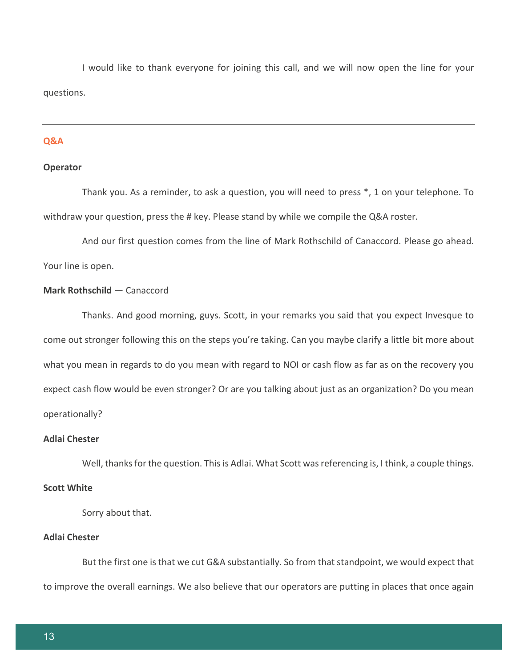I would like to thank everyone for joining this call, and we will now open the line for your questions.

#### **Q&A**

## **Operator**

Thank you. As a reminder, to ask a question, you will need to press \*, 1 on your telephone. To withdraw your question, press the # key. Please stand by while we compile the Q&A roster.

And our first question comes from the line of Mark Rothschild of Canaccord. Please go ahead. Your line is open.

## **Mark Rothschild** — Canaccord

Thanks. And good morning, guys. Scott, in your remarks you said that you expect Invesque to come out stronger following this on the steps you're taking. Can you maybe clarify a little bit more about what you mean in regards to do you mean with regard to NOI or cash flow as far as on the recovery you expect cash flow would be even stronger? Or are you talking about just as an organization? Do you mean operationally?

#### **Adlai Chester**

Well, thanks for the question. This is Adlai. What Scott was referencing is, I think, a couple things.

## **Scott White**

Sorry about that.

## **Adlai Chester**

But the first one is that we cut G&A substantially. So from that standpoint, we would expect that to improve the overall earnings. We also believe that our operators are putting in places that once again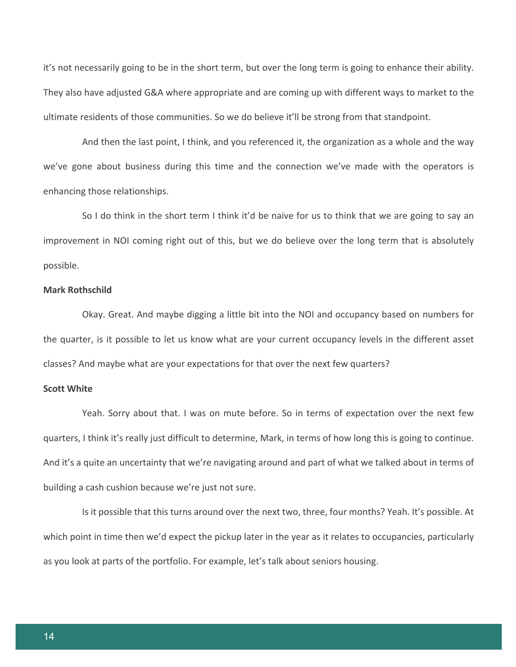it's not necessarily going to be in the short term, but over the long term is going to enhance their ability. They also have adjusted G&A where appropriate and are coming up with different ways to market to the ultimate residents of those communities. So we do believe it'll be strong from that standpoint.

And then the last point, I think, and you referenced it, the organization as a whole and the way we've gone about business during this time and the connection we've made with the operators is enhancing those relationships.

So I do think in the short term I think it'd be naive for us to think that we are going to say an improvement in NOI coming right out of this, but we do believe over the long term that is absolutely possible.

## **Mark Rothschild**

Okay. Great. And maybe digging a little bit into the NOI and occupancy based on numbers for the quarter, is it possible to let us know what are your current occupancy levels in the different asset classes? And maybe what are your expectations for that over the next few quarters?

## **Scott White**

Yeah. Sorry about that. I was on mute before. So in terms of expectation over the next few quarters, I think it's really just difficult to determine, Mark, in terms of how long this is going to continue. And it's a quite an uncertainty that we're navigating around and part of what we talked about in terms of building a cash cushion because we're just not sure.

Is it possible that this turns around over the next two, three, four months? Yeah. It's possible. At which point in time then we'd expect the pickup later in the year as it relates to occupancies, particularly as you look at parts of the portfolio. For example, let's talk about seniors housing.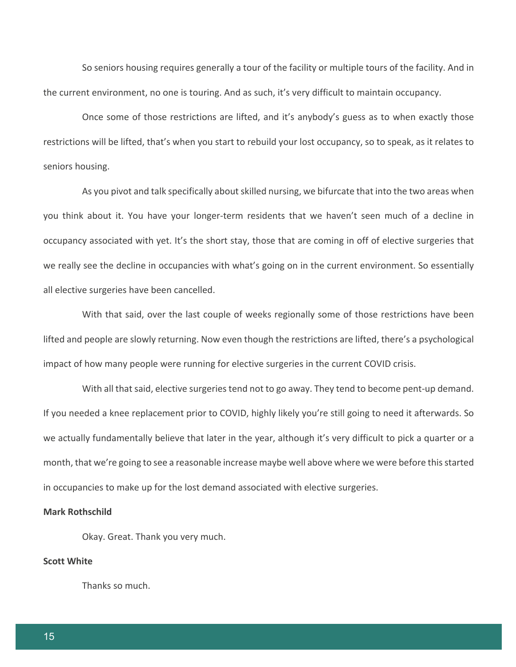So seniors housing requires generally a tour of the facility or multiple tours of the facility. And in the current environment, no one is touring. And as such, it's very difficult to maintain occupancy.

Once some of those restrictions are lifted, and it's anybody's guess as to when exactly those restrictions will be lifted, that's when you start to rebuild your lost occupancy, so to speak, as it relates to seniors housing.

As you pivot and talk specifically about skilled nursing, we bifurcate that into the two areas when you think about it. You have your longer-term residents that we haven't seen much of a decline in occupancy associated with yet. It's the short stay, those that are coming in off of elective surgeries that we really see the decline in occupancies with what's going on in the current environment. So essentially all elective surgeries have been cancelled.

With that said, over the last couple of weeks regionally some of those restrictions have been lifted and people are slowly returning. Now even though the restrictions are lifted, there's a psychological impact of how many people were running for elective surgeries in the current COVID crisis.

With all that said, elective surgeries tend not to go away. They tend to become pent-up demand. If you needed a knee replacement prior to COVID, highly likely you're still going to need it afterwards. So we actually fundamentally believe that later in the year, although it's very difficult to pick a quarter or a month, that we're going to see a reasonable increase maybe well above where we were before this started in occupancies to make up for the lost demand associated with elective surgeries.

#### **Mark Rothschild**

Okay. Great. Thank you very much.

## **Scott White**

Thanks so much.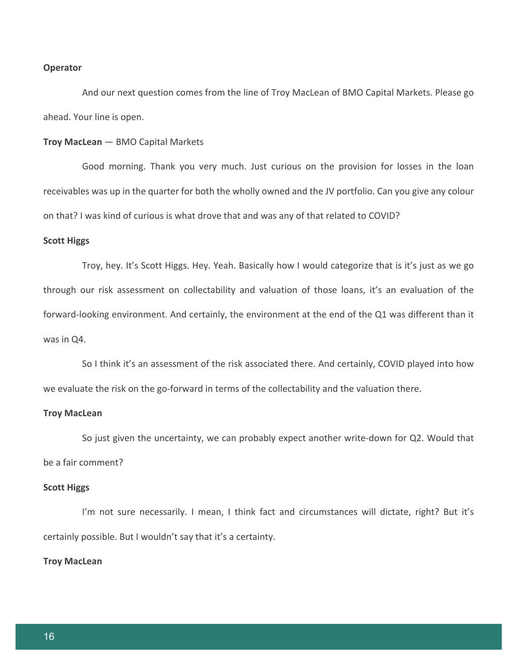#### **Operator**

And our next question comes from the line of Troy MacLean of BMO Capital Markets. Please go ahead. Your line is open.

#### **Troy MacLean** — BMO Capital Markets

Good morning. Thank you very much. Just curious on the provision for losses in the loan receivables was up in the quarter for both the wholly owned and the JV portfolio. Can you give any colour on that? I was kind of curious is what drove that and was any of that related to COVID?

#### **Scott Higgs**

Troy, hey. It's Scott Higgs. Hey. Yeah. Basically how I would categorize that is it's just as we go through our risk assessment on collectability and valuation of those loans, it's an evaluation of the forward-looking environment. And certainly, the environment at the end of the Q1 was different than it was in Q4.

So I think it's an assessment of the risk associated there. And certainly, COVID played into how we evaluate the risk on the go-forward in terms of the collectability and the valuation there.

#### **Troy MacLean**

So just given the uncertainty, we can probably expect another write-down for Q2. Would that be a fair comment?

#### **Scott Higgs**

I'm not sure necessarily. I mean, I think fact and circumstances will dictate, right? But it's certainly possible. But I wouldn't say that it's a certainty.

#### **Troy MacLean**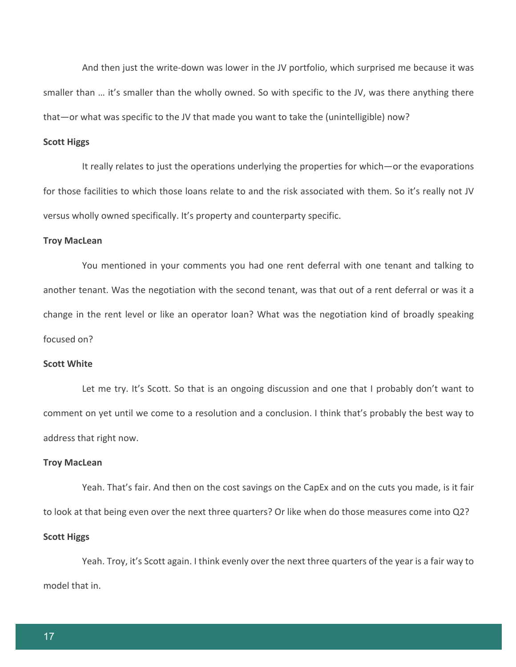And then just the write-down was lower in the JV portfolio, which surprised me because it was smaller than … it's smaller than the wholly owned. So with specific to the JV, was there anything there that—or what was specific to the JV that made you want to take the (unintelligible) now?

#### **Scott Higgs**

It really relates to just the operations underlying the properties for which—or the evaporations for those facilities to which those loans relate to and the risk associated with them. So it's really not JV versus wholly owned specifically. It's property and counterparty specific.

#### **Troy MacLean**

You mentioned in your comments you had one rent deferral with one tenant and talking to another tenant. Was the negotiation with the second tenant, was that out of a rent deferral or was it a change in the rent level or like an operator loan? What was the negotiation kind of broadly speaking focused on?

### **Scott White**

Let me try. It's Scott. So that is an ongoing discussion and one that I probably don't want to comment on yet until we come to a resolution and a conclusion. I think that's probably the best way to address that right now.

#### **Troy MacLean**

Yeah. That's fair. And then on the cost savings on the CapEx and on the cuts you made, is it fair to look at that being even over the next three quarters? Or like when do those measures come into Q2?

## **Scott Higgs**

Yeah. Troy, it's Scott again. I think evenly over the next three quarters of the year is a fair way to model that in.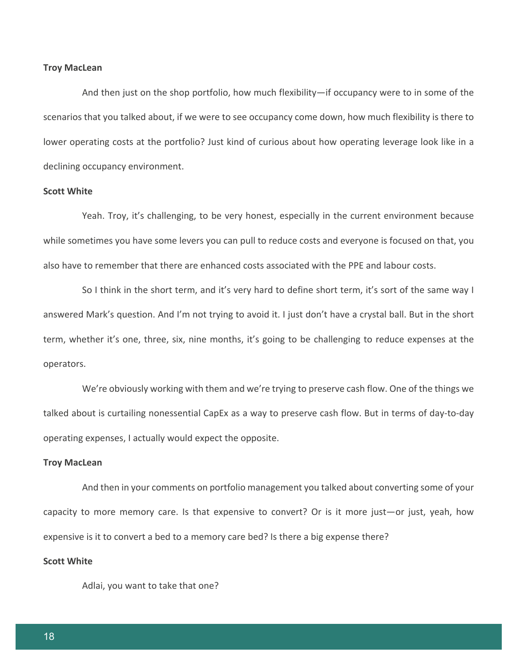#### **Troy MacLean**

And then just on the shop portfolio, how much flexibility—if occupancy were to in some of the scenarios that you talked about, if we were to see occupancy come down, how much flexibility is there to lower operating costs at the portfolio? Just kind of curious about how operating leverage look like in a declining occupancy environment.

#### **Scott White**

Yeah. Troy, it's challenging, to be very honest, especially in the current environment because while sometimes you have some levers you can pull to reduce costs and everyone is focused on that, you also have to remember that there are enhanced costs associated with the PPE and labour costs.

So I think in the short term, and it's very hard to define short term, it's sort of the same way I answered Mark's question. And I'm not trying to avoid it. I just don't have a crystal ball. But in the short term, whether it's one, three, six, nine months, it's going to be challenging to reduce expenses at the operators.

We're obviously working with them and we're trying to preserve cash flow. One of the things we talked about is curtailing nonessential CapEx as a way to preserve cash flow. But in terms of day-to-day operating expenses, I actually would expect the opposite.

#### **Troy MacLean**

And then in your comments on portfolio management you talked about converting some of your capacity to more memory care. Is that expensive to convert? Or is it more just—or just, yeah, how expensive is it to convert a bed to a memory care bed? Is there a big expense there?

## **Scott White**

Adlai, you want to take that one?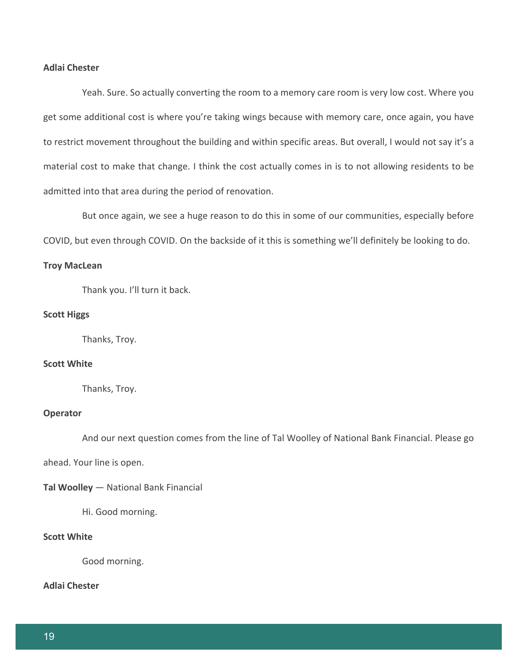## **Adlai Chester**

Yeah. Sure. So actually converting the room to a memory care room is very low cost. Where you get some additional cost is where you're taking wings because with memory care, once again, you have to restrict movement throughout the building and within specific areas. But overall, I would not say it's a material cost to make that change. I think the cost actually comes in is to not allowing residents to be admitted into that area during the period of renovation.

But once again, we see a huge reason to do this in some of our communities, especially before COVID, but even through COVID. On the backside of it this is something we'll definitely be looking to do.

#### **Troy MacLean**

Thank you. I'll turn it back.

## **Scott Higgs**

Thanks, Troy.

## **Scott White**

Thanks, Troy.

## **Operator**

And our next question comes from the line of Tal Woolley of National Bank Financial. Please go

ahead. Your line is open.

#### **Tal Woolley** — National Bank Financial

Hi. Good morning.

## **Scott White**

Good morning.

**Adlai Chester**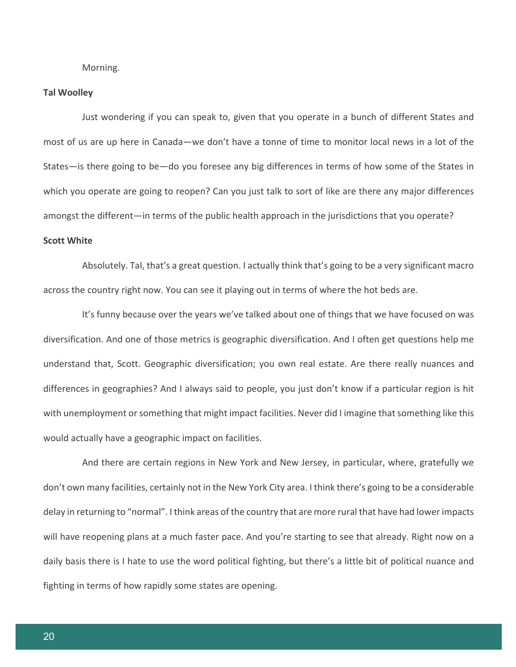Morning.

## **Tal Woolley**

Just wondering if you can speak to, given that you operate in a bunch of different States and most of us are up here in Canada—we don't have a tonne of time to monitor local news in a lot of the States—is there going to be—do you foresee any big differences in terms of how some of the States in which you operate are going to reopen? Can you just talk to sort of like are there any major differences amongst the different—in terms of the public health approach in the jurisdictions that you operate?

## **Scott White**

Absolutely. Tal, that's a great question. I actually think that's going to be a very significant macro across the country right now. You can see it playing out in terms of where the hot beds are.

It's funny because over the years we've talked about one of things that we have focused on was diversification. And one of those metrics is geographic diversification. And I often get questions help me understand that, Scott. Geographic diversification; you own real estate. Are there really nuances and differences in geographies? And I always said to people, you just don't know if a particular region is hit with unemployment or something that might impact facilities. Never did I imagine that something like this would actually have a geographic impact on facilities.

And there are certain regions in New York and New Jersey, in particular, where, gratefully we don't own many facilities, certainly not in the New York City area. I think there's going to be a considerable delay in returning to "normal". I think areas of the country that are more rural that have had lower impacts will have reopening plans at a much faster pace. And you're starting to see that already. Right now on a daily basis there is I hate to use the word political fighting, but there's a little bit of political nuance and fighting in terms of how rapidly some states are opening.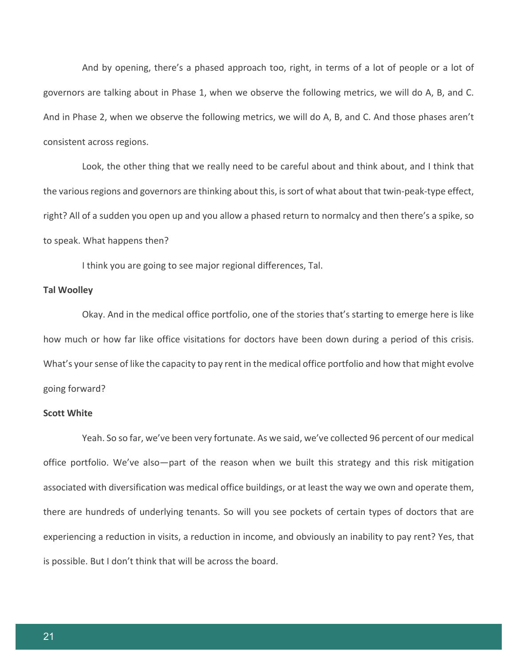And by opening, there's a phased approach too, right, in terms of a lot of people or a lot of governors are talking about in Phase 1, when we observe the following metrics, we will do A, B, and C. And in Phase 2, when we observe the following metrics, we will do A, B, and C. And those phases aren't consistent across regions.

Look, the other thing that we really need to be careful about and think about, and I think that the various regions and governors are thinking about this, is sort of what about that twin-peak-type effect, right? All of a sudden you open up and you allow a phased return to normalcy and then there's a spike, so to speak. What happens then?

I think you are going to see major regional differences, Tal.

## **Tal Woolley**

Okay. And in the medical office portfolio, one of the stories that's starting to emerge here is like how much or how far like office visitations for doctors have been down during a period of this crisis. What's your sense of like the capacity to pay rent in the medical office portfolio and how that might evolve going forward?

## **Scott White**

Yeah. So so far, we've been very fortunate. As we said, we've collected 96 percent of our medical office portfolio. We've also—part of the reason when we built this strategy and this risk mitigation associated with diversification was medical office buildings, or at least the way we own and operate them, there are hundreds of underlying tenants. So will you see pockets of certain types of doctors that are experiencing a reduction in visits, a reduction in income, and obviously an inability to pay rent? Yes, that is possible. But I don't think that will be across the board.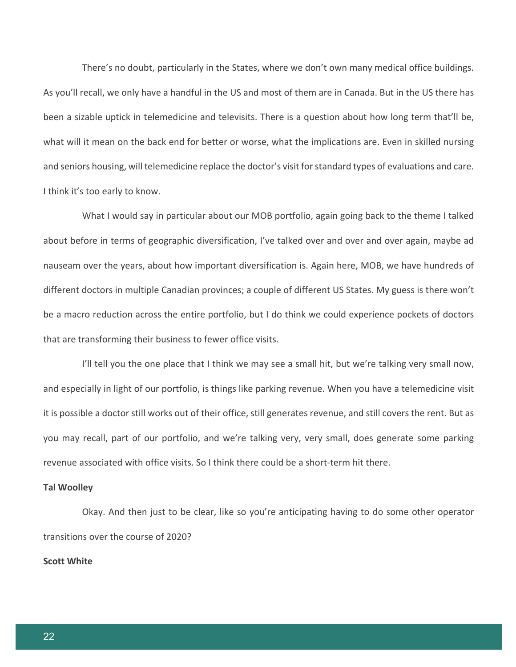There's no doubt, particularly in the States, where we don't own many medical office buildings. As you'll recall, we only have a handful in the US and most of them are in Canada. But in the US there has been a sizable uptick in telemedicine and televisits. There is a question about how long term that'll be, what will it mean on the back end for better or worse, what the implications are. Even in skilled nursing and seniors housing, will telemedicine replace the doctor's visit for standard types of evaluations and care. I think it's too early to know.

What I would say in particular about our MOB portfolio, again going back to the theme I talked about before in terms of geographic diversification, I've talked over and over and over again, maybe ad nauseam over the years, about how important diversification is. Again here, MOB, we have hundreds of different doctors in multiple Canadian provinces; a couple of different US States. My guess is there won't be a macro reduction across the entire portfolio, but I do think we could experience pockets of doctors that are transforming their business to fewer office visits.

I'll tell you the one place that I think we may see a small hit, but we're talking very small now, and especially in light of our portfolio, is things like parking revenue. When you have a telemedicine visit it is possible a doctor still works out of their office, still generates revenue, and still covers the rent. But as you may recall, part of our portfolio, and we're talking very, very small, does generate some parking revenue associated with office visits. So I think there could be a short-term hit there.

#### **Tal Woolley**

Okay. And then just to be clear, like so you're anticipating having to do some other operator transitions over the course of 2020?

#### **Scott White**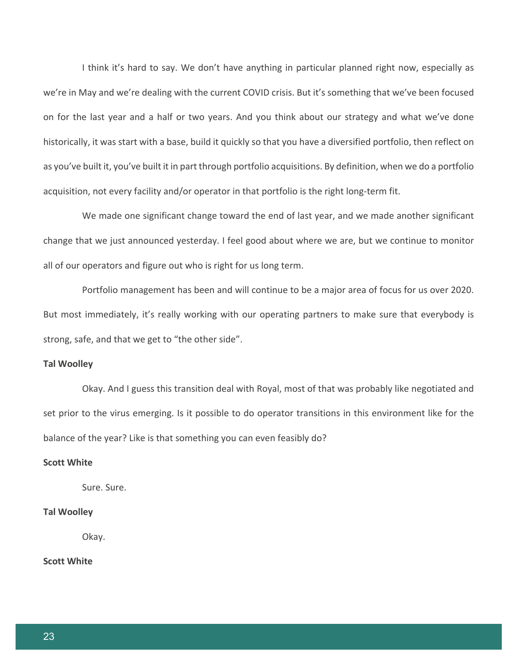I think it's hard to say. We don't have anything in particular planned right now, especially as we're in May and we're dealing with the current COVID crisis. But it's something that we've been focused on for the last year and a half or two years. And you think about our strategy and what we've done historically, it was start with a base, build it quickly so that you have a diversified portfolio, then reflect on as you've built it, you've built it in part through portfolio acquisitions. By definition, when we do a portfolio acquisition, not every facility and/or operator in that portfolio is the right long-term fit.

We made one significant change toward the end of last year, and we made another significant change that we just announced yesterday. I feel good about where we are, but we continue to monitor all of our operators and figure out who is right for us long term.

Portfolio management has been and will continue to be a major area of focus for us over 2020. But most immediately, it's really working with our operating partners to make sure that everybody is strong, safe, and that we get to "the other side".

## **Tal Woolley**

Okay. And I guess this transition deal with Royal, most of that was probably like negotiated and set prior to the virus emerging. Is it possible to do operator transitions in this environment like for the balance of the year? Like is that something you can even feasibly do?

#### **Scott White**

Sure. Sure.

## **Tal Woolley**

Okay.

## **Scott White**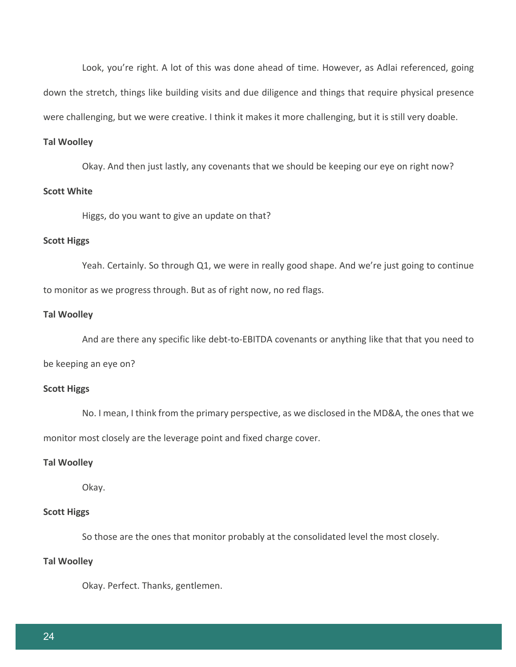Look, you're right. A lot of this was done ahead of time. However, as Adlai referenced, going down the stretch, things like building visits and due diligence and things that require physical presence were challenging, but we were creative. I think it makes it more challenging, but it is still very doable.

#### **Tal Woolley**

Okay. And then just lastly, any covenants that we should be keeping our eye on right now?

## **Scott White**

Higgs, do you want to give an update on that?

## **Scott Higgs**

Yeah. Certainly. So through Q1, we were in really good shape. And we're just going to continue to monitor as we progress through. But as of right now, no red flags.

## **Tal Woolley**

And are there any specific like debt-to-EBITDA covenants or anything like that that you need to

be keeping an eye on?

## **Scott Higgs**

No. I mean, I think from the primary perspective, as we disclosed in the MD&A, the ones that we monitor most closely are the leverage point and fixed charge cover.

## **Tal Woolley**

Okay.

## **Scott Higgs**

So those are the ones that monitor probably at the consolidated level the most closely.

### **Tal Woolley**

Okay. Perfect. Thanks, gentlemen.